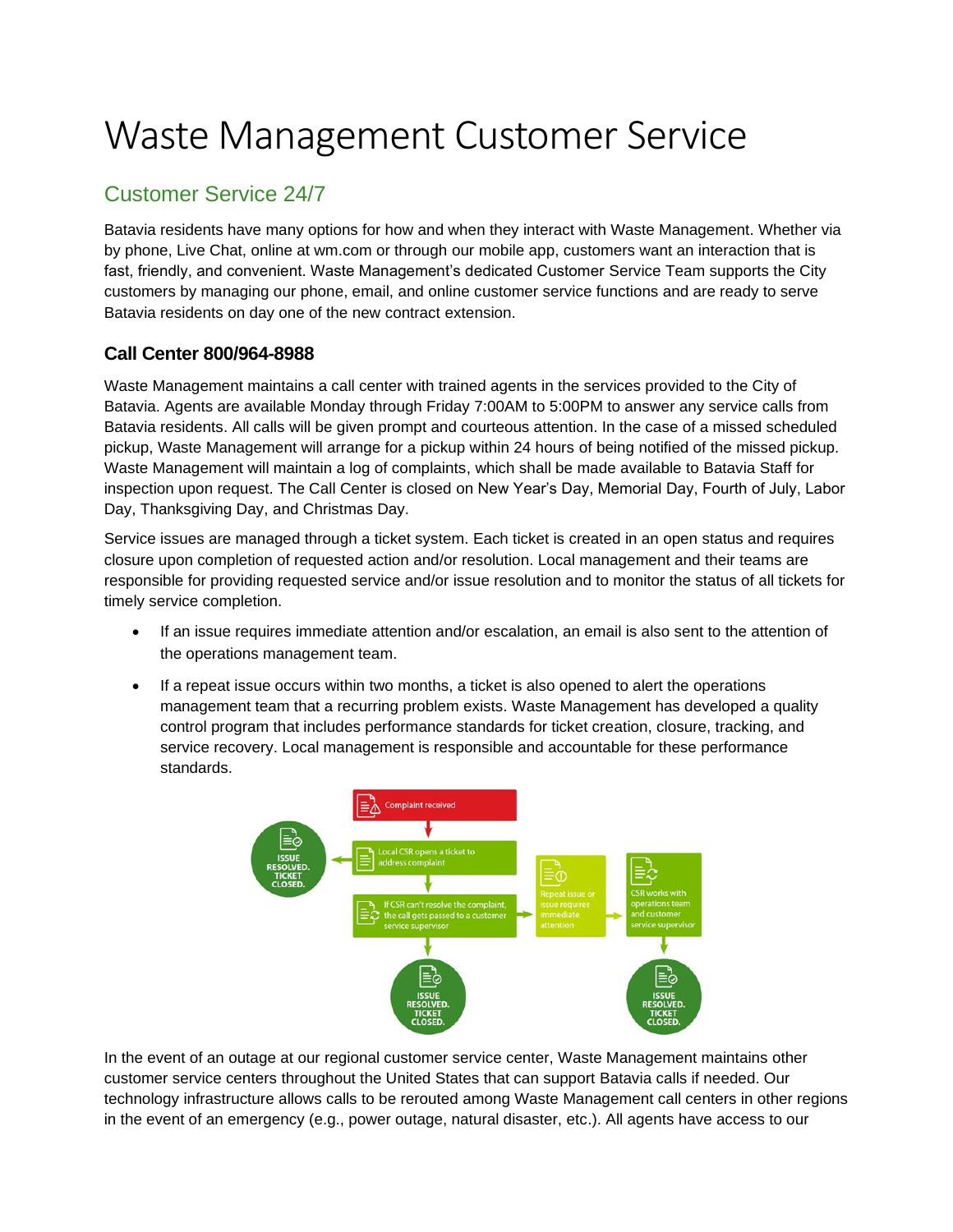# Waste Management Customer Service

# Customer Service 24/7

Batavia residents have many options for how and when they interact with Waste Management. Whether via by phone, Live Chat, online at wm.com or through our mobile app, customers want an interaction that is fast, friendly, and convenient. Waste Management's dedicated Customer Service Team supports the City customers by managing our phone, email, and online customer service functions and are ready to serve Batavia residents on day one of the new contract extension.

### **Call Center 800/964-8988**

Waste Management maintains a call center with trained agents in the services provided to the City of Batavia. Agents are available Monday through Friday 7:00AM to 5:00PM to answer any service calls from Batavia residents. All calls will be given prompt and courteous attention. In the case of a missed scheduled pickup, Waste Management will arrange for a pickup within 24 hours of being notified of the missed pickup. Waste Management will maintain a log of complaints, which shall be made available to Batavia Staff for inspection upon request. The Call Center is closed on New Year's Day, Memorial Day, Fourth of July, Labor Day, Thanksgiving Day, and Christmas Day.

Service issues are managed through a ticket system. Each ticket is created in an open status and requires closure upon completion of requested action and/or resolution. Local management and their teams are responsible for providing requested service and/or issue resolution and to monitor the status of all tickets for timely service completion.

- If an issue requires immediate attention and/or escalation, an email is also sent to the attention of the operations management team.
- If a repeat issue occurs within two months, a ticket is also opened to alert the operations management team that a recurring problem exists. Waste Management has developed a quality control program that includes performance standards for ticket creation, closure, tracking, and service recovery. Local management is responsible and accountable for these performance standards.



In the event of an outage at our regional customer service center, Waste Management maintains other customer service centers throughout the United States that can support Batavia calls if needed. Our technology infrastructure allows calls to be rerouted among Waste Management call centers in other regions in the event of an emergency (e.g., power outage, natural disaster, etc.). All agents have access to our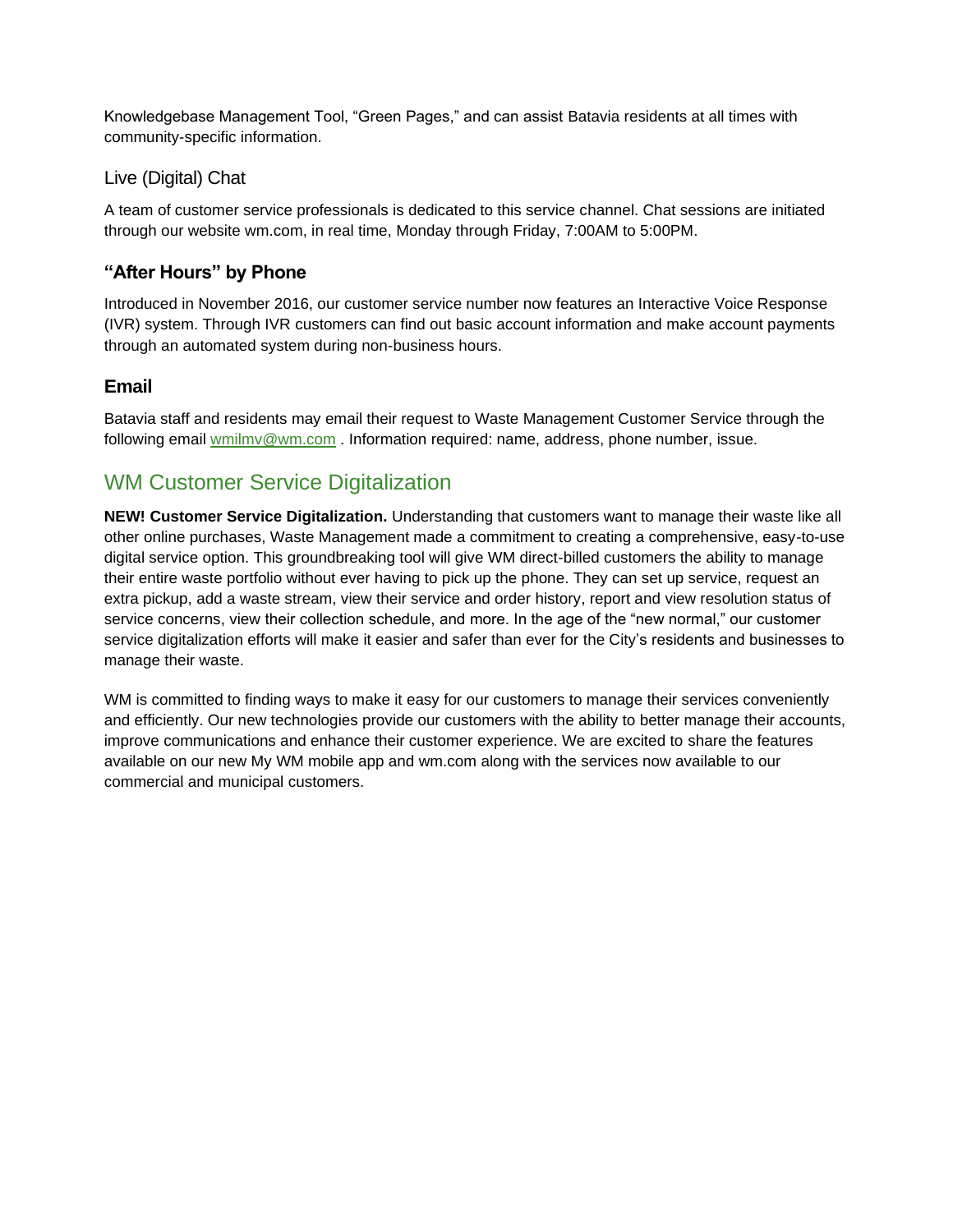Knowledgebase Management Tool, "Green Pages," and can assist Batavia residents at all times with community-specific information.

### Live (Digital) Chat

A team of customer service professionals is dedicated to this service channel. Chat sessions are initiated through our website wm.com, in real time, Monday through Friday, 7:00AM to 5:00PM.

## **"After Hours" by Phone**

Introduced in November 2016, our customer service number now features an Interactive Voice Response (IVR) system. Through IVR customers can find out basic account information and make account payments through an automated system during non-business hours.

### **Email**

Batavia staff and residents may email their request to Waste Management Customer Service through the following email [wmilmv@wm.com](mailto:wmilmv@wm.com) . Information required: name, address, phone number, issue.

## WM Customer Service Digitalization

**NEW! Customer Service Digitalization.** Understanding that customers want to manage their waste like all other online purchases, Waste Management made a commitment to creating a comprehensive, easy-to-use digital service option. This groundbreaking tool will give WM direct-billed customers the ability to manage their entire waste portfolio without ever having to pick up the phone. They can set up service, request an extra pickup, add a waste stream, view their service and order history, report and view resolution status of service concerns, view their collection schedule, and more. In the age of the "new normal," our customer service digitalization efforts will make it easier and safer than ever for the City's residents and businesses to manage their waste.

WM is committed to finding ways to make it easy for our customers to manage their services conveniently and efficiently. Our new technologies provide our customers with the ability to better manage their accounts, improve communications and enhance their customer experience. We are excited to share the features available on our new My WM mobile app and wm.com along with the services now available to our commercial and municipal customers.